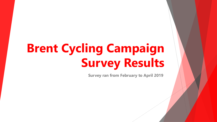# **Brent Cycling Campaign Survey Results**

**Survey ran from February to April 2019**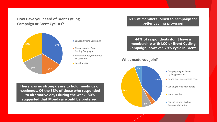## **How Have you heard of Brent Cycling Campaign or Brent Cyclists?**



- **London Cycling Campaign**
- Never heard of Brent Cycling Campaign
- Recommended/mentioned by someone
- Social Media

**There was no strong desire to hold meetings on weekends. Of the 38% of those who responded to alternative days during the week, 80% suggested that Mondays would be preferred.** 

### **69% of members joined to campaign for better cycling provision**

**44% of respondents don't have a membership with LCC or Brent Cycling Campaign, however, 79% cycle in Brent.**

**What made you join?**

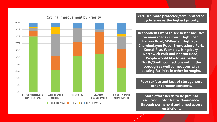

## **Cycling Improvement by Priority**

**80% see more protected/semi protected cycle lanes as the highest priority.**

**Respondents want to see better facilities on main roads (Kilburn High Road, Harrow Road, Willesden High Road, Chamberlayne Road, Brondesbury Park, Kensal Rise, Wembley, Kingsbury, Northwick Park and Kenton Road). People would like to see better North/South connections within the borough as well connections with existing facilities in other boroughs.**

**Poor surface and lack of storage were other common concerns.**

**More effort needs to be put into reducing motor traffic dominance, through permanent and timed access restrictions.**

 $\blacksquare$  High Priority (5)  $\blacksquare$  4  $\blacksquare$  3  $\blacksquare$  2  $\blacksquare$  Low Priority (1)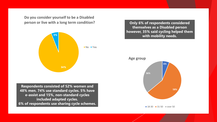**Do you consider yourself to be a Disabled person or live with a long term condition?**



**Respondents consisted of 52% women and 48% men. 74% use standard cycles. 5% have e-assist and 15%, non-standard cycles included adapted cycles. 6% of respondents use sharing cycle schemes.**

**Only 6% of respondents considered themselves as a Disabled person however, 35% said cycling helped them with mobility needs.** 

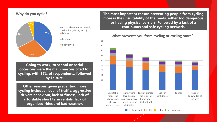#### **Why do you cycle?**



**Practical (Commute to work,** schoolrun, shops, social)

**Going to work, to school or social occasions were the main reasons cited for cycling, with 37% of respondents, followed by Leisure.** 

**Other reasons given preventing more cycling included: level of traffic, aggressive drivers behaviour, lack of fitness, lack of affordable short term rentals, lack of organised rides and bad weather.**

**The most important reason preventing people from cycling more is the unsuitability of the roads, either too dangerous or having physical barriers. Followed by a lack of a continuous and safe cycling network.** 

**What prevents you from cycling or cycling more?**



 $\blacksquare$  Very Important  $\blacksquare$  2  $\blacksquare$  3  $\blacksquare$  4  $\blacksquare$  5  $\blacksquare$  Not Important